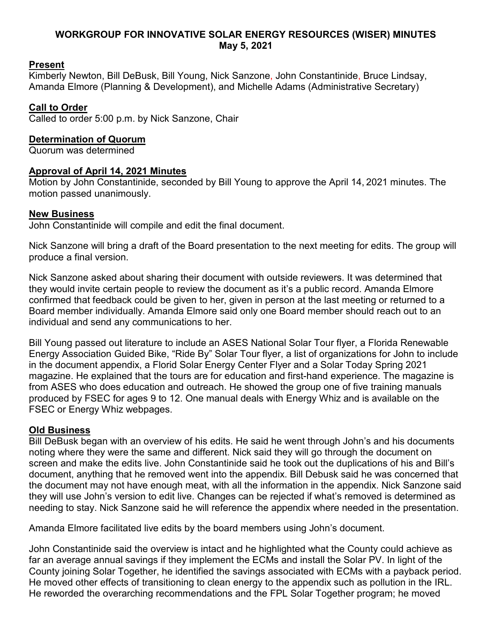### **WORKGROUP FOR INNOVATIVE SOLAR ENERGY RESOURCES (WISER) MINUTES May 5, 2021**

# **Present**

Kimberly Newton, Bill DeBusk, Bill Young, Nick Sanzone, John Constantinide, Bruce Lindsay, Amanda Elmore (Planning & Development), and Michelle Adams (Administrative Secretary)

# **Call to Order**

Called to order 5:00 p.m. by Nick Sanzone, Chair

### **Determination of Quorum**

Quorum was determined

### **Approval of April 14, 2021 Minutes**

Motion by John Constantinide, seconded by Bill Young to approve the April 14, 2021 minutes. The motion passed unanimously.

# **New Business**

John Constantinide will compile and edit the final document.

Nick Sanzone will bring a draft of the Board presentation to the next meeting for edits. The group will produce a final version.

Nick Sanzone asked about sharing their document with outside reviewers. It was determined that they would invite certain people to review the document as it's a public record. Amanda Elmore confirmed that feedback could be given to her, given in person at the last meeting or returned to a Board member individually. Amanda Elmore said only one Board member should reach out to an individual and send any communications to her.

Bill Young passed out literature to include an ASES National Solar Tour flyer, a Florida Renewable Energy Association Guided Bike, "Ride By" Solar Tour flyer, a list of organizations for John to include in the document appendix, a Florid Solar Energy Center Flyer and a Solar Today Spring 2021 magazine. He explained that the tours are for education and first-hand experience. The magazine is from ASES who does education and outreach. He showed the group one of five training manuals produced by FSEC for ages 9 to 12. One manual deals with Energy Whiz and is available on the FSEC or Energy Whiz webpages.

### **Old Business**

Bill DeBusk began with an overview of his edits. He said he went through John's and his documents noting where they were the same and different. Nick said they will go through the document on screen and make the edits live. John Constantinide said he took out the duplications of his and Bill's document, anything that he removed went into the appendix. Bill Debusk said he was concerned that the document may not have enough meat, with all the information in the appendix. Nick Sanzone said they will use John's version to edit live. Changes can be rejected if what's removed is determined as needing to stay. Nick Sanzone said he will reference the appendix where needed in the presentation.

Amanda Elmore facilitated live edits by the board members using John's document.

John Constantinide said the overview is intact and he highlighted what the County could achieve as far an average annual savings if they implement the ECMs and install the Solar PV. In light of the County joining Solar Together, he identified the savings associated with ECMs with a payback period. He moved other effects of transitioning to clean energy to the appendix such as pollution in the IRL. He reworded the overarching recommendations and the FPL Solar Together program; he moved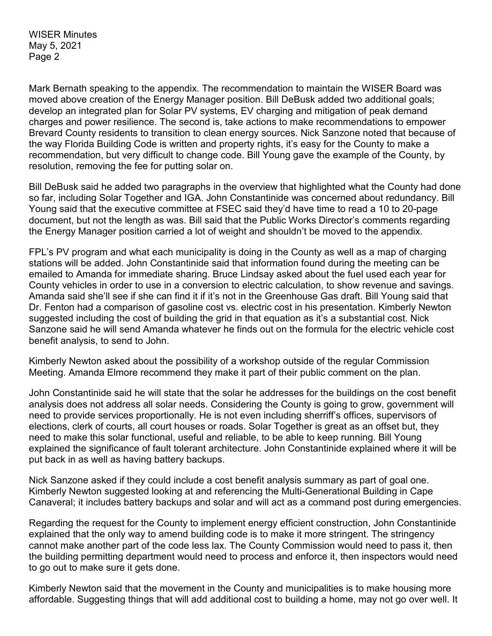WISER Minutes May 5, 2021 Page 2

Mark Bernath speaking to the appendix. The recommendation to maintain the WISER Board was moved above creation of the Energy Manager position. Bill DeBusk added two additional goals; develop an integrated plan for Solar PV systems, EV charging and mitigation of peak demand charges and power resilience. The second is, take actions to make recommendations to empower Brevard County residents to transition to clean energy sources. Nick Sanzone noted that because of the way Florida Building Code is written and property rights, it's easy for the County to make a recommendation, but very difficult to change code. Bill Young gave the example of the County, by resolution, removing the fee for putting solar on.

Bill DeBusk said he added two paragraphs in the overview that highlighted what the County had done so far, including Solar Together and IGA. John Constantinide was concerned about redundancy. Bill Young said that the executive committee at FSEC said they'd have time to read a 10 to 20-page document, but not the length as was. Bill said that the Public Works Director's comments regarding the Energy Manager position carried a lot of weight and shouldn't be moved to the appendix.

FPL's PV program and what each municipality is doing in the County as well as a map of charging stations will be added. John Constantinide said that information found during the meeting can be emailed to Amanda for immediate sharing. Bruce Lindsay asked about the fuel used each year for County vehicles in order to use in a conversion to electric calculation, to show revenue and savings. Amanda said she'll see if she can find it if it's not in the Greenhouse Gas draft. Bill Young said that Dr. Fenton had a comparison of gasoline cost vs. electric cost in his presentation. Kimberly Newton suggested including the cost of building the grid in that equation as it's a substantial cost. Nick Sanzone said he will send Amanda whatever he finds out on the formula for the electric vehicle cost benefit analysis, to send to John.

Kimberly Newton asked about the possibility of a workshop outside of the regular Commission Meeting. Amanda Elmore recommend they make it part of their public comment on the plan.

John Constantinide said he will state that the solar he addresses for the buildings on the cost benefit analysis does not address all solar needs. Considering the County is going to grow, government will need to provide services proportionally. He is not even including sherriff's offices, supervisors of elections, clerk of courts, all court houses or roads. Solar Together is great as an offset but, they need to make this solar functional, useful and reliable, to be able to keep running. Bill Young explained the significance of fault tolerant architecture. John Constantinide explained where it will be put back in as well as having battery backups.

Nick Sanzone asked if they could include a cost benefit analysis summary as part of goal one. Kimberly Newton suggested looking at and referencing the Multi-Generational Building in Cape Canaveral; it includes battery backups and solar and will act as a command post during emergencies.

Regarding the request for the County to implement energy efficient construction, John Constantinide explained that the only way to amend building code is to make it more stringent. The stringency cannot make another part of the code less lax. The County Commission would need to pass it, then the building permitting department would need to process and enforce it, then inspectors would need to go out to make sure it gets done.

Kimberly Newton said that the movement in the County and municipalities is to make housing more affordable. Suggesting things that will add additional cost to building a home, may not go over well. It